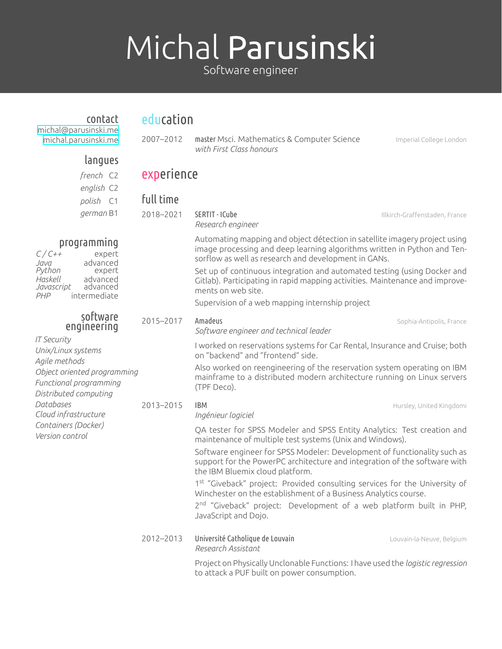# Michal Parusinski

Software engineer

| contact<br>michal@parusinski.me<br>michal.parusinski.me                                                                                                                                                                                               | education  |                                                                                                                                                                                                                |                                |
|-------------------------------------------------------------------------------------------------------------------------------------------------------------------------------------------------------------------------------------------------------|------------|----------------------------------------------------------------------------------------------------------------------------------------------------------------------------------------------------------------|--------------------------------|
|                                                                                                                                                                                                                                                       | 2007-2012  | master Msci. Mathematics & Computer Science<br>with First Class honours                                                                                                                                        | Imperial College London        |
| langues                                                                                                                                                                                                                                               |            |                                                                                                                                                                                                                |                                |
| french C2                                                                                                                                                                                                                                             | experience |                                                                                                                                                                                                                |                                |
| english C2                                                                                                                                                                                                                                            |            |                                                                                                                                                                                                                |                                |
| polish C1<br>german B1                                                                                                                                                                                                                                | full time  |                                                                                                                                                                                                                |                                |
|                                                                                                                                                                                                                                                       | 2018-2021  | SERTIT - ICube<br>Research engineer                                                                                                                                                                            | Illkirch-Graffenstaden, France |
| programming<br>$C/C++$<br>expert<br>advanced<br>Java                                                                                                                                                                                                  |            | Automating mapping and object détection in satellite imagery project using<br>image processing and deep learning algorithms written in Python and Ten-<br>sorflow as well as research and development in GANs. |                                |
| Python<br>expert<br>Haskell<br>advanced<br>Javascript<br>advanced<br>intermediate<br>PHP                                                                                                                                                              |            | Set up of continuous integration and automated testing (using Docker and<br>Gitlab). Participating in rapid mapping activities. Maintenance and improve-<br>ments on web site.                                 |                                |
|                                                                                                                                                                                                                                                       |            | Supervision of a web mapping internship project                                                                                                                                                                |                                |
| software<br>engineering<br><b>IT Security</b><br>Unix/Linux systems<br>Agile methods<br>Object oriented programming<br>Functional programming<br>Distributed computing<br>Databases<br>Cloud infrastructure<br>Containers (Docker)<br>Version control | 2015-2017  | Amadeus<br>Software engineer and technical leader                                                                                                                                                              | Sophia-Antipolis, France       |
|                                                                                                                                                                                                                                                       |            | I worked on reservations systems for Car Rental, Insurance and Cruise; both<br>on "backend" and "frontend" side.                                                                                               |                                |
|                                                                                                                                                                                                                                                       |            | Also worked on reengineering of the reservation system operating on IBM<br>mainframe to a distributed modern architecture running on Linux servers<br>(TPF Deco).                                              |                                |
|                                                                                                                                                                                                                                                       | 2013-2015  | <b>IBM</b><br>Ingénieur logiciel                                                                                                                                                                               | Hursley, United Kingdomi       |
|                                                                                                                                                                                                                                                       |            | QA tester for SPSS Modeler and SPSS Entity Analytics: Test creation and<br>maintenance of multiple test systems (Unix and Windows).                                                                            |                                |
|                                                                                                                                                                                                                                                       |            | Software engineer for SPSS Modeler: Development of functionality such as<br>support for the PowerPC architecture and integration of the software with<br>the IBM Bluemix cloud platform.                       |                                |
|                                                                                                                                                                                                                                                       |            | 1st "Giveback" project: Provided consulting services for the University of<br>Winchester on the establishment of a Business Analytics course.                                                                  |                                |
|                                                                                                                                                                                                                                                       |            | 2 <sup>nd</sup> "Giveback" project: Development of a web platform built in PHP,<br>JavaScript and Dojo.                                                                                                        |                                |
|                                                                                                                                                                                                                                                       | 2012-2013  | Université Catholique de Louvain<br>Research Assistant                                                                                                                                                         | Louvain-la-Neuve, Belgium      |
|                                                                                                                                                                                                                                                       |            | Project on Physically Unclonable Functions: I have used the logistic regression<br>to attack a PUF built on power consumption.                                                                                 |                                |